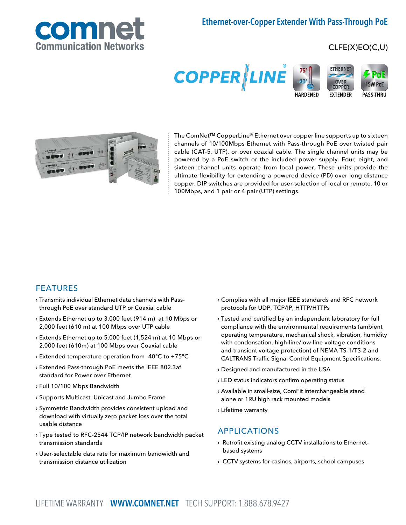# Ethernet-over-Copper Extender With Pass-Through PoE



## CLFE(X)EO(C,U)





The ComNet™ CopperLine® Ethernet over copper line supports up to sixteen channels of 10/100Mbps Ethernet with Pass-through PoE over twisted pair cable (CAT-5, UTP), or over coaxial cable. The single channel units may be powered by a PoE switch or the included power supply. Four, eight, and sixteen channel units operate from local power. These units provide the ultimate flexibility for extending a powered device (PD) over long distance copper. DIP switches are provided for user-selection of local or remote, 10 or 100Mbps, and 1 pair or 4 pair (UTP) settings.

### FEATURES

- › Transmits individual Ethernet data channels with Passthrough PoE over standard UTP or Coaxial cable
- › Extends Ethernet up to 3,000 feet (914 m) at 10 Mbps or 2,000 feet (610 m) at 100 Mbps over UTP cable
- › Extends Ethernet up to 5,000 feet (1,524 m) at 10 Mbps or 2,000 feet (610m) at 100 Mbps over Coaxial cable
- › Extended temperature operation from -40°C to +75°C
- › Extended Pass-through PoE meets the IEEE 802.3af standard for Power over Ethernet
- › Full 10/100 Mbps Bandwidth
- › Supports Multicast, Unicast and Jumbo Frame
- › Symmetric Bandwidth provides consistent upload and download with virtually zero packet loss over the total usable distance
- › Type tested to RFC-2544 TCP/IP network bandwidth packet transmission standards
- › User-selectable data rate for maximum bandwidth and transmission distance utilization
- › Complies with all major IEEE standards and RFC network protocols for UDP, TCP/IP, HTTP/HTTPs
- › Tested and certified by an independent laboratory for full compliance with the environmental requirements (ambient operating temperature, mechanical shock, vibration, humidity with condensation, high-line/low-line voltage conditions and transient voltage protection) of NEMA TS-1/TS-2 and CALTRANS Traffic Signal Control Equipment Specifications.
- › Designed and manufactured in the USA
- › LED status indicators confirm operating status
- › Available in small-size, ComFit interchangeable stand alone or 1RU high rack mounted models
- › Lifetime warranty

### APPLICATIONS

- › Retrofit existing analog CCTV installations to Ethernetbased systems
- › CCTV systems for casinos, airports, school campuses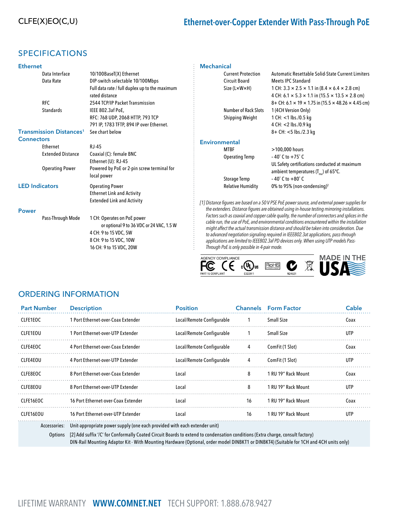## SPECIFICATIONS

| <b>Ethernet</b>                           |                                                                  |
|-------------------------------------------|------------------------------------------------------------------|
| Data Interface                            | 10/100BaseT(X) Ethernet                                          |
| Data Rate                                 | DIP-switch selectable 10/100Mbps                                 |
|                                           | Full data rate / full duplex up to the maximum<br>rated distance |
| <b>RFC</b>                                | 2544 TCP/IP Packet Transmission                                  |
| <b>Standards</b>                          | IEEE 802.3af PoE,                                                |
|                                           | RFC: 768 UDP, 2068 HTTP, 793 TCP                                 |
|                                           | 791 IP, 1783 TFTP, 894 IP over Ethernet.                         |
| <b>Transmission Distances<sup>1</sup></b> | See chart below                                                  |
| <b>Connectors</b>                         |                                                                  |

| wunneuwia             |                          |                                                                                                  |  |  |  |  |
|-----------------------|--------------------------|--------------------------------------------------------------------------------------------------|--|--|--|--|
|                       | Ethernet                 | RJ-45                                                                                            |  |  |  |  |
|                       | <b>Extended Distance</b> | Coaxial (C): female BNC<br>Ethernet (U): RJ-45                                                   |  |  |  |  |
|                       | <b>Operating Power</b>   | Powered by PoE or 2-pin screw terminal for<br>local power                                        |  |  |  |  |
| <b>LED Indicators</b> |                          | <b>Operating Power</b><br><b>Ethernet Link and Activity</b><br><b>Extended Link and Activity</b> |  |  |  |  |
| <b>Power</b>          |                          |                                                                                                  |  |  |  |  |
|                       | Pass-Through Mode        | 1 CH: Operates on PoE power<br>or optional 9 to 36 VDC or 24 VAC, 1.5 W                          |  |  |  |  |
|                       |                          | 4 CH: 9 to 15 VDC, 5W                                                                            |  |  |  |  |
|                       |                          | 8 CH: 9 to 15 VDC, 10W                                                                           |  |  |  |  |

16 CH: 9 to 15 VDC, 20W

#### **Mechanical**

|               | <b>Current Protection</b>   | Automatic Resettable Solid-State Current Limiters                              |
|---------------|-----------------------------|--------------------------------------------------------------------------------|
|               | Circuit Board               | Meets IPC Standard                                                             |
|               | Size (L×W×H)                | 1 CH: $3.3 \times 2.5 \times 1.1$ in (8.4 $\times$ 6.4 $\times$ 2.8 cm)        |
|               |                             | 4 CH: $6.1 \times 5.3 \times 1.1$ in (15.5 $\times$ 13.5 $\times$ 2.8 cm)      |
|               |                             | 8+ CH: 6.1 $\times$ 19 $\times$ 1.75 in (15.5 $\times$ 48.26 $\times$ 4.45 cm) |
|               | <b>Number of Rack Slots</b> | 1 (4CH Version Only)                                                           |
|               | Shipping Weight             | 1 CH: <1 lbs./0.5 kg                                                           |
|               |                             | 4 CH: <2 lbs./0.9 kg                                                           |
|               |                             | 8+ CH: <5 lbs./2.3 kg                                                          |
| Environmental |                             |                                                                                |
|               | MTBF                        | >100,000 hours                                                                 |
|               | <b>Operating Temp</b>       | $-40^{\circ}$ C to $+75^{\circ}$ C                                             |
|               |                             | UL Safety certifications conducted at maximum                                  |
|               |                             | ambient temperatures $(T_{\text{max}})$ of 65°C.                               |
|               | <b>Storage Temp</b>         | $-40^{\circ}$ C to $+80^{\circ}$ C                                             |
|               | <b>Relative Humidity</b>    | 0% to 95% (non-condensing) <sup>2</sup>                                        |

[1] Distance figures are based on a 50 V PSE PoE power source, and external power supplies for the extenders. Distance figures are obtained using in-house testing mirroring installations. Factors such as coaxial and copper cable quality, the number of connectors and splices in the cable run, the use of PoE, and environmental conditions encountered within the installation might affect the actual transmission distance and should be taken into consideration. Due to advanced negotiation signaling required in IEEE802.3at applications, pass-through applications are limited to IEEE802.3af PD devices only. When using UTP models Pass-Through PoE is only possible in 4-pair mode.



## ORDERING INFORMATION

| <b>Part Number</b> | <b>Description</b>                                                                                                                                                                                                                                                        | <b>Position</b>           |    | <b>Channels</b> Form Factor | Cable      |  |
|--------------------|---------------------------------------------------------------------------------------------------------------------------------------------------------------------------------------------------------------------------------------------------------------------------|---------------------------|----|-----------------------------|------------|--|
| CLFE1EOC           | 1 Port Ethernet-over-Coax Extender                                                                                                                                                                                                                                        | Local/Remote Configurable |    | <b>Small Size</b>           | Coax       |  |
| CLFE1EOU           | 1 Port Ethernet-over-UTP Extender                                                                                                                                                                                                                                         | Local/Remote Configurable |    | <b>Small Size</b>           | UTP        |  |
| CLFE4EOC           | 4 Port Ethernet-over-Coax Extender                                                                                                                                                                                                                                        | Local/Remote Configurable | 4  | ComFit (1 Slot)             | Coax       |  |
| CLFE4EOU           | 4 Port Ethernet-over-UTP Extender                                                                                                                                                                                                                                         | Local/Remote Configurable | 4  | ComFit (1 Slot)             | <b>UTP</b> |  |
| CLFE8EOC           | 8 Port Ethernet-over-Coax Extender                                                                                                                                                                                                                                        | Local                     | 8  | 1 RU 19" Rack Mount         | Coax       |  |
| CLFE8EOU           | 8 Port Ethernet-over-UTP Extender                                                                                                                                                                                                                                         | Local                     | 8  | 1 RU 19" Rack Mount         | UTP        |  |
| CLFE16EOC          | 16 Port Ethernet-over-Coax Extender                                                                                                                                                                                                                                       | Local                     | 16 | 1 RU 19" Rack Mount         | Coax       |  |
| CLFE16EOU          | 16 Port Ethernet-over-UTP Extender                                                                                                                                                                                                                                        | Local                     | 16 | 1 RU 19" Rack Mount         | UTP        |  |
| Accessories:       | Unit-appropriate power supply (one each provided with each extender unit)                                                                                                                                                                                                 |                           |    |                             |            |  |
| Options            | [2] Add suffix '/C' for Conformally Coated Circuit Boards to extend to condensation conditions (Extra charge, consult factory)<br>DIN-Rail Mounting Adaptor Kit - With Mounting Hardware (Optional, order model DINBKT1 or DINBKT4) (Suitable for 1CH and 4CH units only) |                           |    |                             |            |  |